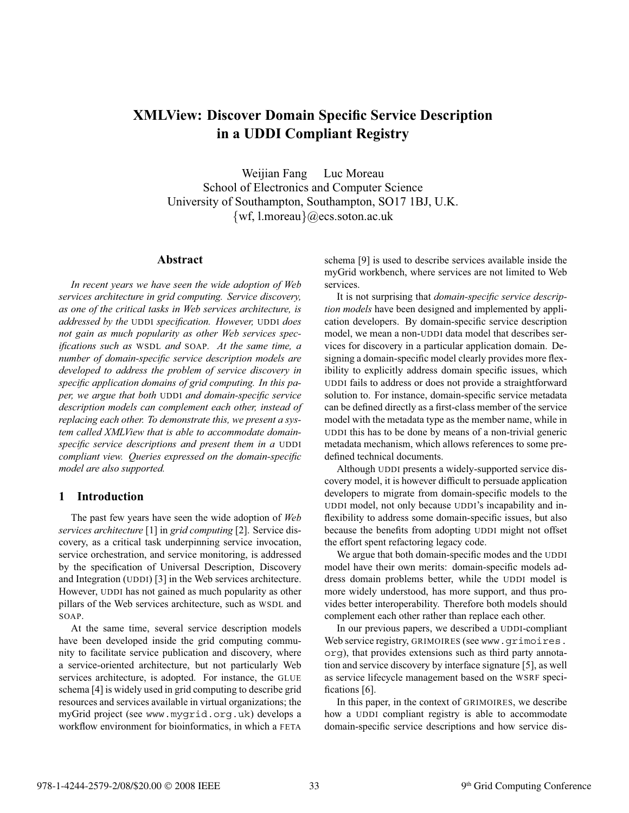# **XMLView: Discover Domain Specific Service Description in a UDDI Compliant Registry**

Weijian Fang Luc Moreau School of Electronics and Computer Science University of Southampton, Southampton, SO17 1BJ, U.K. {wf, l.moreau}@ecs.soton.ac.uk

## **Abstract**

*In recent years we have seen the wide adoption of Web services architecture in grid computing. Service discovery, as one of the critical tasks in Web services architecture, is addressed by the* UDDI *specification. However,* UDDI *does not gain as much popularity as other Web services specifications such as* WSDL *and* SOAP*. At the same time, a number of domain-specific service description models are developed to address the problem of service discovery in specific application domains of grid computing. In this paper, we argue that both* UDDI *and domain-specific service description models can complement each other, instead of replacing each other. To demonstrate this, we present a system called XMLView that is able to accommodate domainspecific service descriptions and present them in a* UDDI *compliant view. Queries expressed on the domain-specific model are also supported.*

# **1 Introduction**

The past few years have seen the wide adoption of *Web services architecture* [1] in *grid computing* [2]. Service discovery, as a critical task underpinning service invocation, service orchestration, and service monitoring, is addressed by the specification of Universal Description, Discovery and Integration (UDDI) [3] in the Web services architecture. However, UDDI has not gained as much popularity as other pillars of the Web services architecture, such as WSDL and SOAP.

At the same time, several service description models have been developed inside the grid computing community to facilitate service publication and discovery, where a service-oriented architecture, but not particularly Web services architecture, is adopted. For instance, the GLUE schema [4] is widely used in grid computing to describe grid resources and services available in virtual organizations; the myGrid project (see www.mygrid.org.uk) develops a workflow environment for bioinformatics, in which a FETA

schema [9] is used to describe services available inside the myGrid workbench, where services are not limited to Web services.

It is not surprising that *domain-specific service description models* have been designed and implemented by application developers. By domain-specific service description model, we mean a non-UDDI data model that describes services for discovery in a particular application domain. Designing a domain-specific model clearly provides more flexibility to explicitly address domain specific issues, which UDDI fails to address or does not provide a straightforward solution to. For instance, domain-specific service metadata can be defined directly as a first-class member of the service model with the metadata type as the member name, while in UDDI this has to be done by means of a non-trivial generic metadata mechanism, which allows references to some predefined technical documents.

Although UDDI presents a widely-supported service discovery model, it is however difficult to persuade application developers to migrate from domain-specific models to the UDDI model, not only because UDDI's incapability and inflexibility to address some domain-specific issues, but also because the benefits from adopting UDDI might not offset the effort spent refactoring legacy code.

We argue that both domain-specific modes and the UDDI model have their own merits: domain-specific models address domain problems better, while the UDDI model is more widely understood, has more support, and thus provides better interoperability. Therefore both models should complement each other rather than replace each other.

In our previous papers, we described a UDDI-compliant Web service registry, GRIMOIRES (see www.qrimoires. org), that provides extensions such as third party annotation and service discovery by interface signature [5], as well as service lifecycle management based on the WSRF specifications [6].

In this paper, in the context of GRIMOIRES, we describe how a UDDI compliant registry is able to accommodate domain-specific service descriptions and how service dis-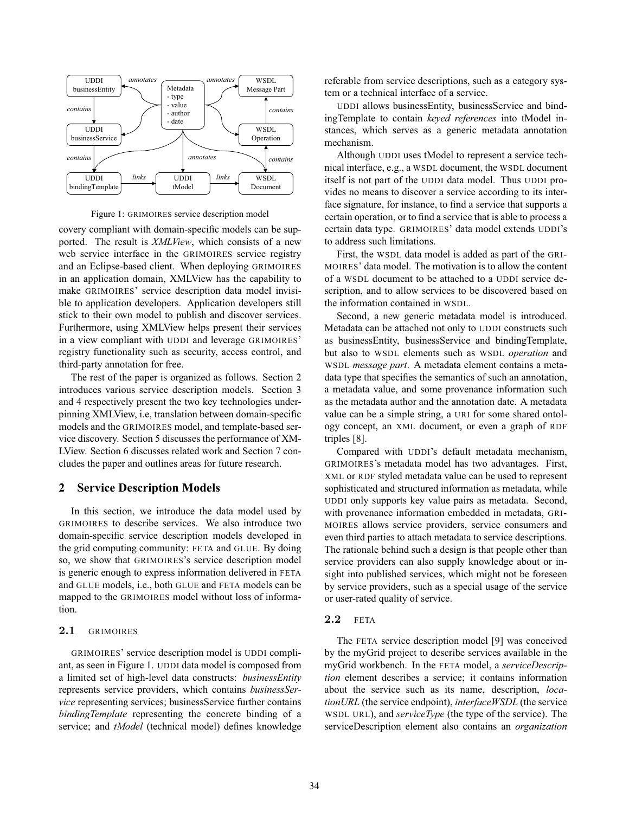

Figure 1: GRIMOIRES service description model

covery compliant with domain-specific models can be supported. The result is *XMLView*, which consists of a new web service interface in the GRIMOIRES service registry and an Eclipse-based client. When deploying GRIMOIRES in an application domain, XMLView has the capability to make GRIMOIRES' service description data model invisible to application developers. Application developers still stick to their own model to publish and discover services. Furthermore, using XMLView helps present their services in a view compliant with UDDI and leverage GRIMOIRES' registry functionality such as security, access control, and third-party annotation for free.

The rest of the paper is organized as follows. Section 2 introduces various service description models. Section 3 and 4 respectively present the two key technologies underpinning XMLView, i.e, translation between domain-specific models and the GRIMOIRES model, and template-based service discovery. Section 5 discusses the performance of XM-LView. Section 6 discusses related work and Section 7 concludes the paper and outlines areas for future research.

## **2 Service Description Models**

In this section, we introduce the data model used by GRIMOIRES to describe services. We also introduce two domain-specific service description models developed in the grid computing community: FETA and GLUE. By doing so, we show that GRIMOIRES's service description model is generic enough to express information delivered in FETA and GLUE models, i.e., both GLUE and FETA models can be mapped to the GRIMOIRES model without loss of information.

#### **2.1** GRIMOIRES

GRIMOIRES' service description model is UDDI compliant, as seen in Figure 1. UDDI data model is composed from a limited set of high-level data constructs: *businessEntity* represents service providers, which contains *businessService* representing services; businessService further contains *bindingTemplate* representing the concrete binding of a service; and *tModel* (technical model) defines knowledge referable from service descriptions, such as a category system or a technical interface of a service.

UDDI allows businessEntity, businessService and bindingTemplate to contain *keyed references* into tModel instances, which serves as a generic metadata annotation mechanism.

Although UDDI uses tModel to represent a service technical interface, e.g., a WSDL document, the WSDL document itself is not part of the UDDI data model. Thus UDDI provides no means to discover a service according to its interface signature, for instance, to find a service that supports a certain operation, or to find a service that is able to process a certain data type. GRIMOIRES' data model extends UDDI's to address such limitations.

First, the WSDL data model is added as part of the GRI-MOIRES' data model. The motivation is to allow the content of a WSDL document to be attached to a UDDI service description, and to allow services to be discovered based on the information contained in WSDL.

Second, a new generic metadata model is introduced. Metadata can be attached not only to UDDI constructs such as businessEntity, businessService and bindingTemplate, but also to WSDL elements such as WSDL *operation* and WSDL *message part*. A metadata element contains a metadata type that specifies the semantics of such an annotation, a metadata value, and some provenance information such as the metadata author and the annotation date. A metadata value can be a simple string, a URI for some shared ontology concept, an XML document, or even a graph of RDF triples [8].

Compared with UDDI's default metadata mechanism, GRIMOIRES's metadata model has two advantages. First, XML or RDF styled metadata value can be used to represent sophisticated and structured information as metadata, while UDDI only supports key value pairs as metadata. Second, with provenance information embedded in metadata, GRI-MOIRES allows service providers, service consumers and even third parties to attach metadata to service descriptions. The rationale behind such a design is that people other than service providers can also supply knowledge about or insight into published services, which might not be foreseen by service providers, such as a special usage of the service or user-rated quality of service.

#### **2.2** FETA

The FETA service description model [9] was conceived by the myGrid project to describe services available in the myGrid workbench. In the FETA model, a *serviceDescription* element describes a service; it contains information about the service such as its name, description, *locationURL* (the service endpoint), *interfaceWSDL* (the service WSDL URL), and *serviceType* (the type of the service). The serviceDescription element also contains an *organization*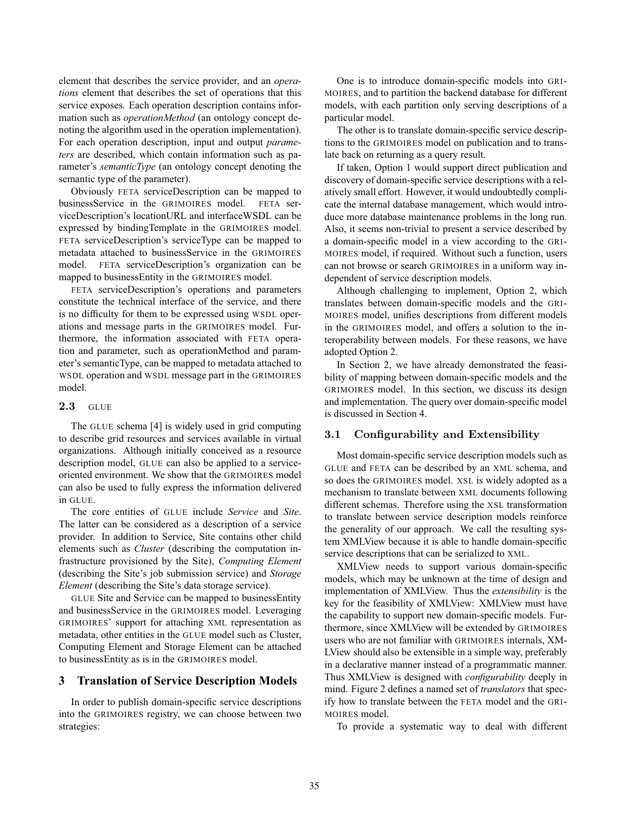element that describes the service provider, and an *operations* element that describes the set of operations that this service exposes. Each operation description contains information such as *operationMethod* (an ontology concept denoting the algorithm used in the operation implementation). For each operation description, input and output *parameters* are described, which contain information such as parameter's *semanticType* (an ontology concept denoting the semantic type of the parameter).

Obviously FETA serviceDescription can be mapped to businessService in the GRIMOIRES model. FETA serviceDescription's locationURL and interfaceWSDL can be expressed by bindingTemplate in the GRIMOIRES model. FETA serviceDescription's serviceType can be mapped to metadata attached to businessService in the GRIMOIRES model. FETA serviceDescription's organization can be mapped to businessEntity in the GRIMOIRES model.

FETA serviceDescription's operations and parameters constitute the technical interface of the service, and there is no difficulty for them to be expressed using WSDL operations and message parts in the GRIMOIRES model. Furthermore, the information associated with FETA operation and parameter, such as operationMethod and parameter's semanticType, can be mapped to metadata attached to WSDL operation and WSDL message part in the GRIMOIRES model.

## **2.3** GLUE

The GLUE schema [4] is widely used in grid computing to describe grid resources and services available in virtual organizations. Although initially conceived as a resource description model, GLUE can also be applied to a serviceoriented environment. We show that the GRIMOIRES model can also be used to fully express the information delivered in GLUE.

The core entities of GLUE include *Service* and *Site*. The latter can be considered as a description of a service provider. In addition to Service, Site contains other child elements such as *Cluster* (describing the computation infrastructure provisioned by the Site), *Computing Element* (describing the Site's job submission service) and *Storage Element* (describing the Site's data storage service).

GLUE Site and Service can be mapped to businessEntity and businessService in the GRIMOIRES model. Leveraging GRIMOIRES' support for attaching XML representation as metadata, other entities in the GLUE model such as Cluster, Computing Element and Storage Element can be attached to businessEntity as is in the GRIMOIRES model.

## **3 Translation of Service Description Models**

In order to publish domain-specific service descriptions into the GRIMOIRES registry, we can choose between two strategies:

One is to introduce domain-specific models into GRI-MOIRES, and to partition the backend database for different models, with each partition only serving descriptions of a particular model.

The other is to translate domain-specific service descriptions to the GRIMOIRES model on publication and to translate back on returning as a query result.

If taken, Option 1 would support direct publication and discovery of domain-specific service descriptions with a relatively small effort. However, it would undoubtedly complicate the internal database management, which would introduce more database maintenance problems in the long run. Also, it seems non-trivial to present a service described by a domain-specific model in a view according to the GRI-MOIRES model, if required. Without such a function, users can not browse or search GRIMOIRES in a uniform way independent of service description models.

Although challenging to implement, Option 2, which translates between domain-specific models and the GRI-MOIRES model, unifies descriptions from different models in the GRIMOIRES model, and offers a solution to the interoperability between models. For these reasons, we have adopted Option 2.

In Section 2, we have already demonstrated the feasibility of mapping between domain-specific models and the GRIMOIRES model. In this section, we discuss its design and implementation. The query over domain-specific model is discussed in Section 4.

#### **3.1 Configurability and Extensibility**

Most domain-specific service description models such as GLUE and FETA can be described by an XML schema, and so does the GRIMOIRES model. XSL is widely adopted as a mechanism to translate between XML documents following different schemas. Therefore using the XSL transformation to translate between service description models reinforce the generality of our approach. We call the resulting system XMLView because it is able to handle domain-specific service descriptions that can be serialized to XML.

XMLView needs to support various domain-specific models, which may be unknown at the time of design and implementation of XMLView. Thus the *extensibility* is the key for the feasibility of XMLView: XMLView must have the capability to support new domain-specific models. Furthermore, since XMLView will be extended by GRIMOIRES users who are not familiar with GRIMOIRES internals, XM-LView should also be extensible in a simple way, preferably in a declarative manner instead of a programmatic manner. Thus XMLView is designed with *configurability* deeply in mind. Figure 2 defines a named set of *translators* that specify how to translate between the FETA model and the GRI-MOIRES model.

To provide a systematic way to deal with different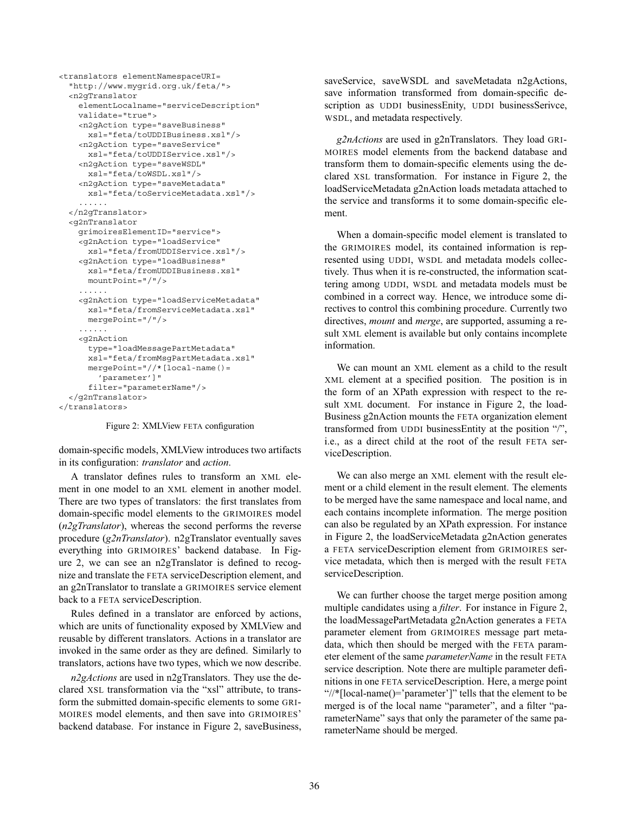```
<translators elementNamespaceURI=
  "http://www.mygrid.org.uk/feta/">
  <n2gTranslator
   elementLocalname="serviceDescription"
   validate="true">
   <n2gAction type="saveBusiness"
     xsl="feta/toUDDIBusiness.xsl"/>
   <n2gAction type="saveService"
     xsl="feta/toUDDIService.xsl"/>
   <n2gAction type="saveWSDL"
     xsl="feta/toWSDL.xsl"/>
    <n2gAction type="saveMetadata"
     xsl="feta/toServiceMetadata.xsl"/>
     ......
  </n2gTranslator>
  <g2nTranslator
   grimoiresElementID="service">
   <g2nAction type="loadService"
     xsl="feta/fromUDDIService.xsl"/>
   <g2nAction type="loadBusiness"
     xsl="feta/fromUDDIBusiness.xsl"
     mountPoint="/"/>
    ......
    <g2nAction type="loadServiceMetadata"
     xsl="feta/fromServiceMetadata.xsl"
     mergePoint="/"/>
     ......
    <g2nAction
     type="loadMessagePartMetadata"
     xsl="feta/fromMsgPartMetadata.xsl"
     mergePoint="//*[local-name()=
       'parameter']"
     filter="parameterName"/>
  </g2nTranslator>
</translators>
```
Figure 2: XMLView FETA configuration

domain-specific models, XMLView introduces two artifacts in its configuration: *translator* and *action*.

A translator defines rules to transform an XML element in one model to an XML element in another model. There are two types of translators: the first translates from domain-specific model elements to the GRIMOIRES model (*n2gTranslator*), whereas the second performs the reverse procedure (*g2nTranslator*). n2gTranslator eventually saves everything into GRIMOIRES' backend database. In Figure 2, we can see an n2gTranslator is defined to recognize and translate the FETA serviceDescription element, and an g2nTranslator to translate a GRIMOIRES service element back to a FETA serviceDescription.

Rules defined in a translator are enforced by actions, which are units of functionality exposed by XMLView and reusable by different translators. Actions in a translator are invoked in the same order as they are defined. Similarly to translators, actions have two types, which we now describe.

*n2gActions* are used in n2gTranslators. They use the declared XSL transformation via the "xsl" attribute, to transform the submitted domain-specific elements to some GRI-MOIRES model elements, and then save into GRIMOIRES' backend database. For instance in Figure 2, saveBusiness, saveService, saveWSDL and saveMetadata n2gActions, save information transformed from domain-specific description as UDDI businessEnity, UDDI businessSerivce, WSDL, and metadata respectively.

*g2nActions* are used in g2nTranslators. They load GRI-MOIRES model elements from the backend database and transform them to domain-specific elements using the declared XSL transformation. For instance in Figure 2, the loadServiceMetadata g2nAction loads metadata attached to the service and transforms it to some domain-specific element.

When a domain-specific model element is translated to the GRIMOIRES model, its contained information is represented using UDDI, WSDL and metadata models collectively. Thus when it is re-constructed, the information scattering among UDDI, WSDL and metadata models must be combined in a correct way. Hence, we introduce some directives to control this combining procedure. Currently two directives, *mount* and *merge*, are supported, assuming a result XML element is available but only contains incomplete information.

We can mount an XML element as a child to the result XML element at a specified position. The position is in the form of an XPath expression with respect to the result XML document. For instance in Figure 2, the load-Business g2nAction mounts the FETA organization element transformed from UDDI businessEntity at the position "/", i.e., as a direct child at the root of the result FETA serviceDescription.

We can also merge an XML element with the result element or a child element in the result element. The elements to be merged have the same namespace and local name, and each contains incomplete information. The merge position can also be regulated by an XPath expression. For instance in Figure 2, the loadServiceMetadata g2nAction generates a FETA serviceDescription element from GRIMOIRES service metadata, which then is merged with the result FETA serviceDescription.

We can further choose the target merge position among multiple candidates using a *filter*. For instance in Figure 2, the loadMessagePartMetadata g2nAction generates a FETA parameter element from GRIMOIRES message part metadata, which then should be merged with the FETA parameter element of the same *parameterName* in the result FETA service description. Note there are multiple parameter definitions in one FETA serviceDescription. Here, a merge point "//\*[local-name()='parameter']" tells that the element to be merged is of the local name "parameter", and a filter "parameterName" says that only the parameter of the same parameterName should be merged.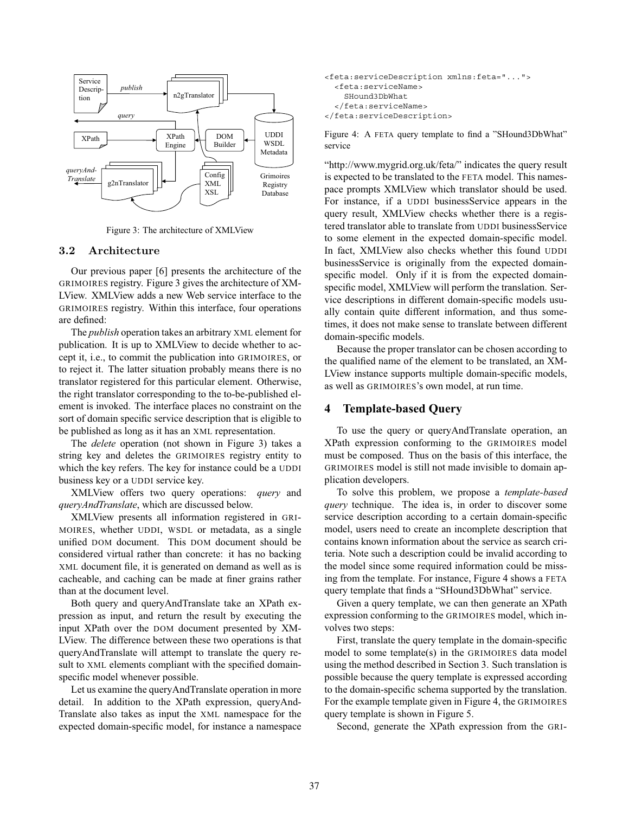

Figure 3: The architecture of XMLView

## **3.2 Architecture**

Our previous paper [6] presents the architecture of the GRIMOIRES registry. Figure 3 gives the architecture of XM-LView. XMLView adds a new Web service interface to the GRIMOIRES registry. Within this interface, four operations are defined:

The *publish* operation takes an arbitrary XML element for publication. It is up to XMLView to decide whether to accept it, i.e., to commit the publication into GRIMOIRES, or to reject it. The latter situation probably means there is no translator registered for this particular element. Otherwise, the right translator corresponding to the to-be-published element is invoked. The interface places no constraint on the sort of domain specific service description that is eligible to be published as long as it has an XML representation.

The *delete* operation (not shown in Figure 3) takes a string key and deletes the GRIMOIRES registry entity to which the key refers. The key for instance could be a UDDI business key or a UDDI service key.

XMLView offers two query operations: *query* and *queryAndTranslate*, which are discussed below.

XMLView presents all information registered in GRI-MOIRES, whether UDDI, WSDL or metadata, as a single unified DOM document. This DOM document should be considered virtual rather than concrete: it has no backing XML document file, it is generated on demand as well as is cacheable, and caching can be made at finer grains rather than at the document level.

Both query and queryAndTranslate take an XPath expression as input, and return the result by executing the input XPath over the DOM document presented by XM-LView. The difference between these two operations is that queryAndTranslate will attempt to translate the query result to XML elements compliant with the specified domainspecific model whenever possible.

Let us examine the queryAndTranslate operation in more detail. In addition to the XPath expression, queryAnd-Translate also takes as input the XML namespace for the expected domain-specific model, for instance a namespace

| <feta:servicedescription xmlns:feta=""></feta:servicedescription> |  |
|-------------------------------------------------------------------|--|
| <feta:servicename></feta:servicename>                             |  |
| SHound3DbWhat                                                     |  |
|                                                                   |  |
|                                                                   |  |

Figure 4: A FETA query template to find a "SHound3DbWhat" service

"http://www.mygrid.org.uk/feta/" indicates the query result is expected to be translated to the FETA model. This namespace prompts XMLView which translator should be used. For instance, if a UDDI businessService appears in the query result, XMLView checks whether there is a registered translator able to translate from UDDI businessService to some element in the expected domain-specific model. In fact, XMLView also checks whether this found UDDI businessService is originally from the expected domainspecific model. Only if it is from the expected domainspecific model, XMLView will perform the translation. Service descriptions in different domain-specific models usually contain quite different information, and thus sometimes, it does not make sense to translate between different domain-specific models.

Because the proper translator can be chosen according to the qualified name of the element to be translated, an XM-LView instance supports multiple domain-specific models, as well as GRIMOIRES's own model, at run time.

#### **4 Template-based Query**

To use the query or queryAndTranslate operation, an XPath expression conforming to the GRIMOIRES model must be composed. Thus on the basis of this interface, the GRIMOIRES model is still not made invisible to domain application developers.

To solve this problem, we propose a *template-based query* technique. The idea is, in order to discover some service description according to a certain domain-specific model, users need to create an incomplete description that contains known information about the service as search criteria. Note such a description could be invalid according to the model since some required information could be missing from the template. For instance, Figure 4 shows a FETA query template that finds a "SHound3DbWhat" service.

Given a query template, we can then generate an XPath expression conforming to the GRIMOIRES model, which involves two steps:

First, translate the query template in the domain-specific model to some template(s) in the GRIMOIRES data model using the method described in Section 3. Such translation is possible because the query template is expressed according to the domain-specific schema supported by the translation. For the example template given in Figure 4, the GRIMOIRES query template is shown in Figure 5.

Second, generate the XPath expression from the GRI-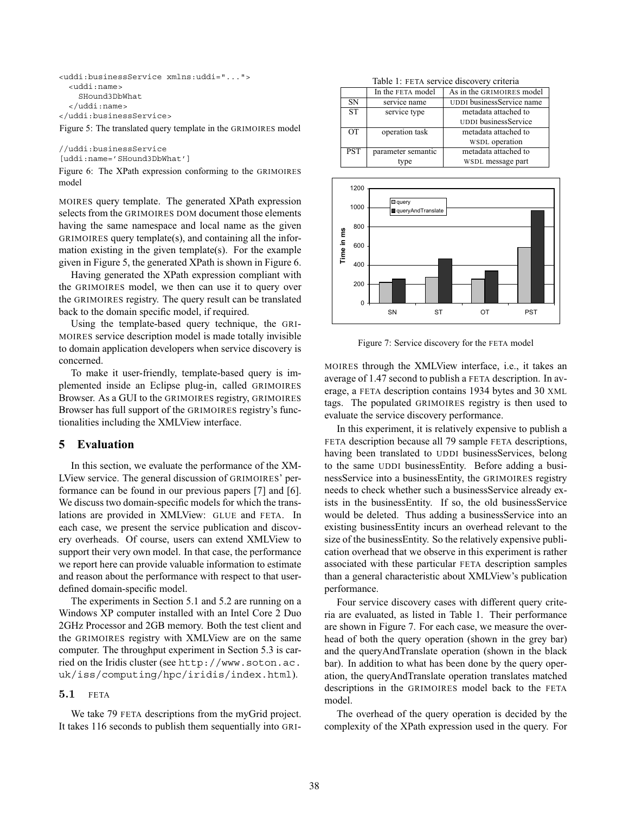```
<uddi:businessService xmlns:uddi="...">
  <uddi:name>
   SHound3DbWhat
  </uddi:name>
</uddi:businessService>
```
Figure 5: The translated query template in the GRIMOIRES model

```
//uddi:businessService
[uddi:name='SHound3DbWhat']
```
Figure 6: The XPath expression conforming to the GRIMOIRES model

MOIRES query template. The generated XPath expression selects from the GRIMOIRES DOM document those elements having the same namespace and local name as the given GRIMOIRES query template(s), and containing all the information existing in the given template(s). For the example given in Figure 5, the generated XPath is shown in Figure 6.

Having generated the XPath expression compliant with the GRIMOIRES model, we then can use it to query over the GRIMOIRES registry. The query result can be translated back to the domain specific model, if required.

Using the template-based query technique, the GRI-MOIRES service description model is made totally invisible to domain application developers when service discovery is concerned.

To make it user-friendly, template-based query is implemented inside an Eclipse plug-in, called GRIMOIRES Browser. As a GUI to the GRIMOIRES registry, GRIMOIRES Browser has full support of the GRIMOIRES registry's functionalities including the XMLView interface.

## **5 Evaluation**

In this section, we evaluate the performance of the XM-LView service. The general discussion of GRIMOIRES' performance can be found in our previous papers [7] and [6]. We discuss two domain-specific models for which the translations are provided in XMLView: GLUE and FETA. In each case, we present the service publication and discovery overheads. Of course, users can extend XMLView to support their very own model. In that case, the performance we report here can provide valuable information to estimate and reason about the performance with respect to that userdefined domain-specific model.

The experiments in Section 5.1 and 5.2 are running on a Windows XP computer installed with an Intel Core 2 Duo 2GHz Processor and 2GB memory. Both the test client and the GRIMOIRES registry with XMLView are on the same computer. The throughput experiment in Section 5.3 is carried on the Iridis cluster (see http://www.soton.ac. uk/iss/computing/hpc/iridis/index.html).

#### **5.1** FETA

We take 79 FETA descriptions from the myGrid project. It takes 116 seconds to publish them sequentially into GRI-

Table 1: FETA service discovery criteria

|            | In the FETA model  | As in the GRIMOIRES model   |
|------------|--------------------|-----------------------------|
| <b>SN</b>  | service name       | UDDI businessService name   |
| <b>ST</b>  | service type       | metadata attached to        |
|            |                    | <b>UDDI</b> businessService |
| <b>OT</b>  | operation task     | metadata attached to        |
|            |                    | WSDL operation              |
| <b>PST</b> | parameter semantic | metadata attached to        |
|            | type               | WSDL message part           |



Figure 7: Service discovery for the FETA model

MOIRES through the XMLView interface, i.e., it takes an average of 1.47 second to publish a FETA description. In average, a FETA description contains 1934 bytes and 30 XML tags. The populated GRIMOIRES registry is then used to evaluate the service discovery performance.

In this experiment, it is relatively expensive to publish a FETA description because all 79 sample FETA descriptions, having been translated to UDDI businessServices, belong to the same UDDI businessEntity. Before adding a businessService into a businessEntity, the GRIMOIRES registry needs to check whether such a businessService already exists in the businessEntity. If so, the old businessService would be deleted. Thus adding a businessService into an existing businessEntity incurs an overhead relevant to the size of the businessEntity. So the relatively expensive publication overhead that we observe in this experiment is rather associated with these particular FETA description samples than a general characteristic about XMLView's publication performance.

Four service discovery cases with different query criteria are evaluated, as listed in Table 1. Their performance are shown in Figure 7. For each case, we measure the overhead of both the query operation (shown in the grey bar) and the queryAndTranslate operation (shown in the black bar). In addition to what has been done by the query operation, the queryAndTranslate operation translates matched descriptions in the GRIMOIRES model back to the FETA model.

The overhead of the query operation is decided by the complexity of the XPath expression used in the query. For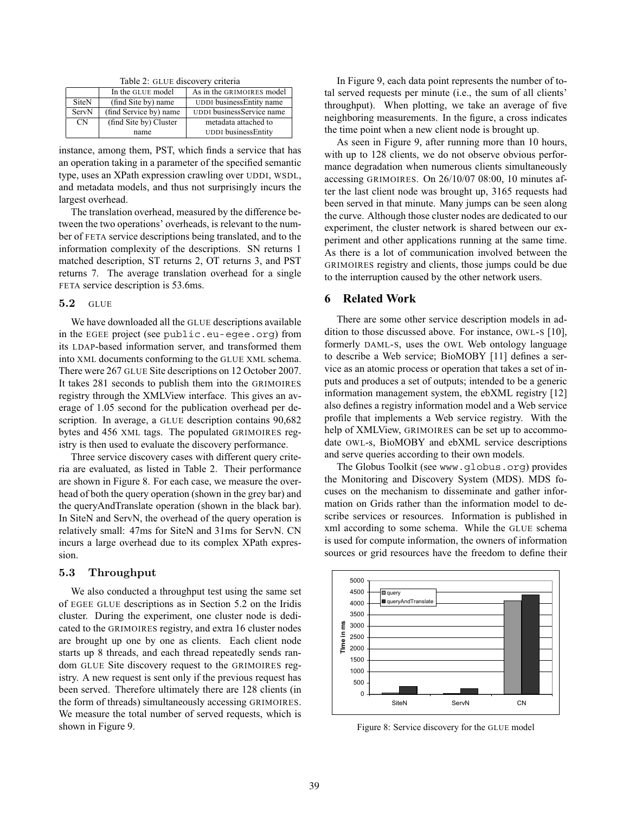|              | In the GLUE model      | As in the GRIMOIRES model  |
|--------------|------------------------|----------------------------|
| <b>SiteN</b> | (find Site by) name    | UDDI businessEntity name   |
| ServN        | (find Service by) name | UDDI businessService name  |
| CN           | (find Site by) Cluster | metadata attached to       |
|              | name                   | <b>UDDI</b> businessEntity |

instance, among them, PST, which finds a service that has an operation taking in a parameter of the specified semantic type, uses an XPath expression crawling over UDDI, WSDL, and metadata models, and thus not surprisingly incurs the largest overhead.

The translation overhead, measured by the difference between the two operations' overheads, is relevant to the number of FETA service descriptions being translated, and to the information complexity of the descriptions. SN returns 1 matched description, ST returns 2, OT returns 3, and PST returns 7. The average translation overhead for a single FETA service description is 53.6ms.

## **5.2** GLUE

We have downloaded all the GLUE descriptions available in the EGEE project (see public.eu-egee.org) from its LDAP-based information server, and transformed them into XML documents conforming to the GLUE XML schema. There were 267 GLUE Site descriptions on 12 October 2007. It takes 281 seconds to publish them into the GRIMOIRES registry through the XMLView interface. This gives an average of 1.05 second for the publication overhead per description. In average, a GLUE description contains 90,682 bytes and 456 XML tags. The populated GRIMOIRES registry is then used to evaluate the discovery performance.

Three service discovery cases with different query criteria are evaluated, as listed in Table 2. Their performance are shown in Figure 8. For each case, we measure the overhead of both the query operation (shown in the grey bar) and the queryAndTranslate operation (shown in the black bar). In SiteN and ServN, the overhead of the query operation is relatively small: 47ms for SiteN and 31ms for ServN. CN incurs a large overhead due to its complex XPath expression.

## **5.3 Throughput**

We also conducted a throughput test using the same set of EGEE GLUE descriptions as in Section 5.2 on the Iridis cluster. During the experiment, one cluster node is dedicated to the GRIMOIRES registry, and extra 16 cluster nodes are brought up one by one as clients. Each client node starts up 8 threads, and each thread repeatedly sends random GLUE Site discovery request to the GRIMOIRES registry. A new request is sent only if the previous request has been served. Therefore ultimately there are 128 clients (in the form of threads) simultaneously accessing GRIMOIRES. We measure the total number of served requests, which is shown in Figure 9.

In Figure 9, each data point represents the number of total served requests per minute (i.e., the sum of all clients' throughput). When plotting, we take an average of five neighboring measurements. In the figure, a cross indicates the time point when a new client node is brought up.

As seen in Figure 9, after running more than 10 hours, with up to 128 clients, we do not observe obvious performance degradation when numerous clients simultaneously accessing GRIMOIRES. On 26/10/07 08:00, 10 minutes after the last client node was brought up, 3165 requests had been served in that minute. Many jumps can be seen along the curve. Although those cluster nodes are dedicated to our experiment, the cluster network is shared between our experiment and other applications running at the same time. As there is a lot of communication involved between the GRIMOIRES registry and clients, those jumps could be due to the interruption caused by the other network users.

## **6 Related Work**

There are some other service description models in addition to those discussed above. For instance, OWL-S [10], formerly DAML-S, uses the OWL Web ontology language to describe a Web service; BioMOBY [11] defines a service as an atomic process or operation that takes a set of inputs and produces a set of outputs; intended to be a generic information management system, the ebXML registry [12] also defines a registry information model and a Web service profile that implements a Web service registry. With the help of XMLView, GRIMOIRES can be set up to accommodate OWL-s, BioMOBY and ebXML service descriptions and serve queries according to their own models.

The Globus Toolkit (see www.globus.org) provides the Monitoring and Discovery System (MDS). MDS focuses on the mechanism to disseminate and gather information on Grids rather than the information model to describe services or resources. Information is published in xml according to some schema. While the GLUE schema is used for compute information, the owners of information sources or grid resources have the freedom to define their



Figure 8: Service discovery for the GLUE model